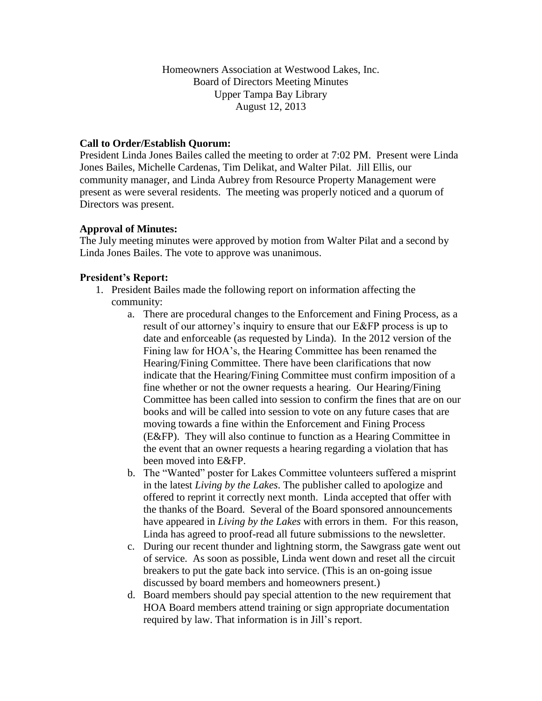Homeowners Association at Westwood Lakes, Inc. Board of Directors Meeting Minutes Upper Tampa Bay Library August 12, 2013

### **Call to Order/Establish Quorum:**

President Linda Jones Bailes called the meeting to order at 7:02 PM. Present were Linda Jones Bailes, Michelle Cardenas, Tim Delikat, and Walter Pilat. Jill Ellis, our community manager, and Linda Aubrey from Resource Property Management were present as were several residents. The meeting was properly noticed and a quorum of Directors was present.

### **Approval of Minutes:**

The July meeting minutes were approved by motion from Walter Pilat and a second by Linda Jones Bailes. The vote to approve was unanimous.

### **President's Report:**

- 1. President Bailes made the following report on information affecting the community:
	- a. There are procedural changes to the Enforcement and Fining Process, as a result of our attorney's inquiry to ensure that our E&FP process is up to date and enforceable (as requested by Linda). In the 2012 version of the Fining law for HOA's, the Hearing Committee has been renamed the Hearing/Fining Committee. There have been clarifications that now indicate that the Hearing/Fining Committee must confirm imposition of a fine whether or not the owner requests a hearing. Our Hearing/Fining Committee has been called into session to confirm the fines that are on our books and will be called into session to vote on any future cases that are moving towards a fine within the Enforcement and Fining Process (E&FP). They will also continue to function as a Hearing Committee in the event that an owner requests a hearing regarding a violation that has been moved into E&FP.
	- b. The "Wanted" poster for Lakes Committee volunteers suffered a misprint in the latest *Living by the Lakes*. The publisher called to apologize and offered to reprint it correctly next month. Linda accepted that offer with the thanks of the Board. Several of the Board sponsored announcements have appeared in *Living by the Lakes* with errors in them. For this reason, Linda has agreed to proof-read all future submissions to the newsletter.
	- c. During our recent thunder and lightning storm, the Sawgrass gate went out of service. As soon as possible, Linda went down and reset all the circuit breakers to put the gate back into service. (This is an on-going issue discussed by board members and homeowners present.)
	- d. Board members should pay special attention to the new requirement that HOA Board members attend training or sign appropriate documentation required by law. That information is in Jill's report.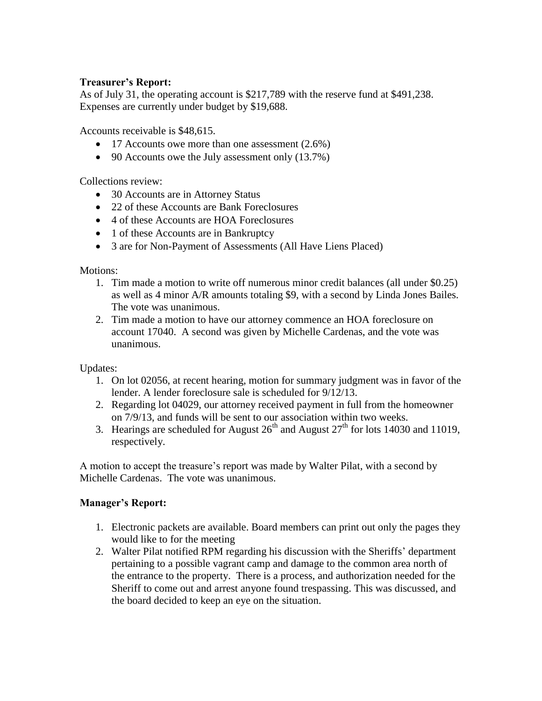# **Treasurer's Report:**

As of July 31, the operating account is \$217,789 with the reserve fund at \$491,238. Expenses are currently under budget by \$19,688.

Accounts receivable is \$48,615.

- 17 Accounts owe more than one assessment (2.6%)
- 90 Accounts owe the July assessment only (13.7%)

Collections review:

- 30 Accounts are in Attorney Status
- 22 of these Accounts are Bank Foreclosures
- 4 of these Accounts are HOA Foreclosures
- 1 of these Accounts are in Bankruptcy
- 3 are for Non-Payment of Assessments (All Have Liens Placed)

### Motions:

- 1. Tim made a motion to write off numerous minor credit balances (all under \$0.25) as well as 4 minor A/R amounts totaling \$9, with a second by Linda Jones Bailes. The vote was unanimous.
- 2. Tim made a motion to have our attorney commence an HOA foreclosure on account 17040. A second was given by Michelle Cardenas, and the vote was unanimous.

### Updates:

- 1. On lot 02056, at recent hearing, motion for summary judgment was in favor of the lender. A lender foreclosure sale is scheduled for 9/12/13.
- 2. Regarding lot 04029, our attorney received payment in full from the homeowner on 7/9/13, and funds will be sent to our association within two weeks.
- 3. Hearings are scheduled for August  $26<sup>th</sup>$  and August  $27<sup>th</sup>$  for lots 14030 and 11019, respectively.

A motion to accept the treasure's report was made by Walter Pilat, with a second by Michelle Cardenas. The vote was unanimous.

### **Manager's Report:**

- 1. Electronic packets are available. Board members can print out only the pages they would like to for the meeting
- 2. Walter Pilat notified RPM regarding his discussion with the Sheriffs' department pertaining to a possible vagrant camp and damage to the common area north of the entrance to the property. There is a process, and authorization needed for the Sheriff to come out and arrest anyone found trespassing. This was discussed, and the board decided to keep an eye on the situation.